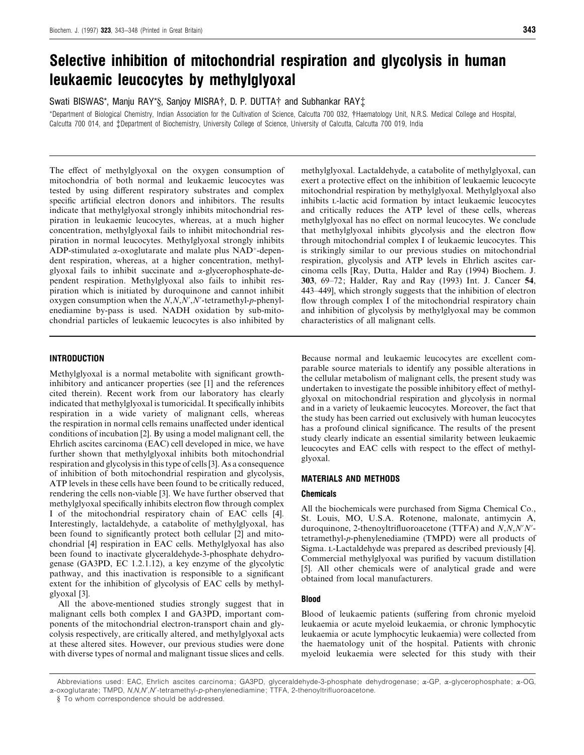# *Selective inhibition of mitochondrial respiration and glycolysis in human leukaemic leucocytes by methylglyoxal*

Swati BISWAS\*, Manju RAY\*§, Sanjoy MISRA†, D. P. DUTTA† and Subhankar RAY‡

\*Department of Biological Chemistry, Indian Association for the Cultivation of Science, Calcutta 700 032, †Haematology Unit, N.R.S. Medical College and Hospital, Calcutta 700 014, and ‡Department of Biochemistry, University College of Science, University of Calcutta, Calcutta 700 019, India

The effect of methylglyoxal on the oxygen consumption of mitochondria of both normal and leukaemic leucocytes was tested by using different respiratory substrates and complex specific artificial electron donors and inhibitors. The results indicate that methylglyoxal strongly inhibits mitochondrial respiration in leukaemic leucocytes, whereas, at a much higher concentration, methylglyoxal fails to inhibit mitochondrial respiration in normal leucocytes. Methylglyoxal strongly inhibits ADP-stimulated  $\alpha$ -oxoglutarate and malate plus NAD<sup>+</sup>-dependent respiration, whereas, at a higher concentration, methylglyoxal fails to inhibit succinate and α-glycerophosphate-dependent respiration. Methylglyoxal also fails to inhibit respiration which is initiated by duroquinone and cannot inhibit oxygen consumption when the *N*,*N*,*N*«,*N*«-tetramethyl-*p*-phenylenediamine by-pass is used. NADH oxidation by sub-mitochondrial particles of leukaemic leucocytes is also inhibited by

## *INTRODUCTION*

Methylglyoxal is a normal metabolite with significant growthinhibitory and anticancer properties (see [1] and the references cited therein). Recent work from our laboratory has clearly indicated that methylglyoxal is tumoricidal. It specifically inhibits respiration in a wide variety of malignant cells, whereas the respiration in normal cells remains unaffected under identical conditions of incubation [2]. By using a model malignant cell, the Ehrlich ascites carcinoma (EAC) cell developed in mice, we have further shown that methylglyoxal inhibits both mitochondrial respiration and glycolysis in this type of cells [3]. As a consequence of inhibition of both mitochondrial respiration and glycolysis, ATP levels in these cells have been found to be critically reduced, rendering the cells non-viable [3]. We have further observed that methylglyoxal specifically inhibits electron flow through complex I of the mitochondrial respiratory chain of EAC cells [4]. Interestingly, lactaldehyde, a catabolite of methylglyoxal, has been found to significantly protect both cellular [2] and mitochondrial [4] respiration in EAC cells. Methylglyoxal has also been found to inactivate glyceraldehyde-3-phosphate dehydrogenase (GA3PD, EC 1.2.1.12), a key enzyme of the glycolytic pathway, and this inactivation is responsible to a significant extent for the inhibition of glycolysis of EAC cells by methylglyoxal [3].

All the above-mentioned studies strongly suggest that in malignant cells both complex I and GA3PD, important components of the mitochondrial electron-transport chain and glycolysis respectively, are critically altered, and methylglyoxal acts at these altered sites. However, our previous studies were done with diverse types of normal and malignant tissue slices and cells.

methylglyoxal. Lactaldehyde, a catabolite of methylglyoxal, can exert a protective effect on the inhibition of leukaemic leucocyte mitochondrial respiration by methylglyoxal. Methylglyoxal also inhibits L-lactic acid formation by intact leukaemic leucocytes and critically reduces the ATP level of these cells, whereas methylglyoxal has no effect on normal leucocytes. We conclude that methylglyoxal inhibits glycolysis and the electron flow through mitochondrial complex I of leukaemic leucocytes. This is strikingly similar to our previous studies on mitochondrial respiration, glycolysis and ATP levels in Ehrlich ascites carcinoma cells [Ray, Dutta, Halder and Ray (1994) Biochem. J. **303**, 69–72; Halder, Ray and Ray (1993) Int. J. Cancer **54**, 443–449], which strongly suggests that the inhibition of electron flow through complex I of the mitochondrial respiratory chain and inhibition of glycolysis by methylglyoxal may be common characteristics of all malignant cells.

Because normal and leukaemic leucocytes are excellent comparable source materials to identify any possible alterations in the cellular metabolism of malignant cells, the present study was undertaken to investigate the possible inhibitory effect of methylglyoxal on mitochondrial respiration and glycolysis in normal and in a variety of leukaemic leucocytes. Moreover, the fact that the study has been carried out exclusively with human leucocytes has a profound clinical significance. The results of the present study clearly indicate an essential similarity between leukaemic leucocytes and EAC cells with respect to the effect of methylglyoxal.

## *MATERIALS AND METHODS*

## *Chemicals*

All the biochemicals were purchased from Sigma Chemical Co., St. Louis, MO, U.S.A. Rotenone, malonate, antimycin A, duroquinone, 2-thenoyltrifluoroacetone (TTFA) and *N,N,N'N'*tetramethyl-*p*-phenylenediamine (TMPD) were all products of Sigma. L-Lactaldehyde was prepared as described previously [4]. Commercial methylglyoxal was purified by vacuum distillation [5]. All other chemicals were of analytical grade and were obtained from local manufacturers.

## *Blood*

Blood of leukaemic patients (suffering from chronic myeloid leukaemia or acute myeloid leukaemia, or chronic lymphocytic leukaemia or acute lymphocytic leukaemia) were collected from the haematology unit of the hospital. Patients with chronic myeloid leukaemia were selected for this study with their

Abbreviations used: EAC, Ehrlich ascites carcinoma; GA3PD, glyceraldehyde-3-phosphate dehydrogenase; α-GP, α-glycerophosphate; α-OG, α-oxoglutarate; TMPD, *N*,*N*,*N*«,*N*«*-*tetramethyl-*p*-phenylenediamine; TTFA, 2-thenoyltrifluoroacetone.

<sup>§</sup> To whom correspondence should be addressed.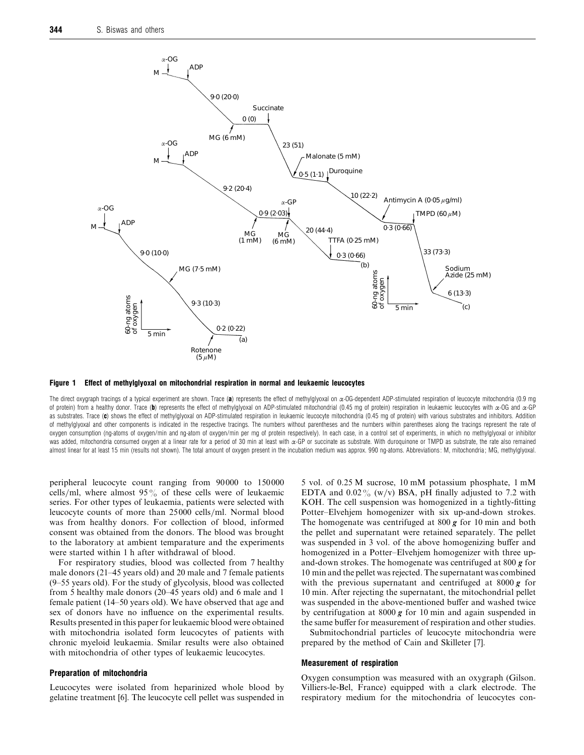

*Figure 1 Effect of methylglyoxal on mitochondrial respiration in normal and leukaemic leucocytes*

The direct oxygraph tracings of a typical experiment are shown. Trace (*a*) represents the effect of methylglyoxal on α-OG-dependent ADP-stimulated respiration of leucocyte mitochondria (0.9 mg of protein) from a healthy donor. Trace (*b*) represents the effect of methylglyoxal on ADP-stimulated mitochondrial (0.45 mg of protein) respiration in leukaemic leucocytes with α-OG and α-GP as substrates. Trace (*c*) shows the effect of methylglyoxal on ADP-stimulated respiration in leukaemic leucocyte mitochondria (0.45 mg of protein) with various substrates and inhibitors. Addition of methylglyoxal and other components is indicated in the respective tracings. The numbers without parentheses and the numbers within parentheses along the tracings represent the rate of oxygen consumption (ng-atoms of oxygen/min and ng-atom of oxygen/min per mg of protein respectively). In each case, in a control set of experiments, in which no methylglyoxal or inhibitor was added, mitochondria consumed oxygen at a linear rate for a period of 30 min at least with a-GP or succinate as substrate. With duroquinone or TMPD as substrate, the rate also remained almost linear for at least 15 min (results not shown). The total amount of oxygen present in the incubation medium was approx. 990 ng-atoms. Abbreviations: M, mitochondria; MG, methylglyoxal.

peripheral leucocyte count ranging from 90 000 to 150 000 cells/ml, where almost  $95\%$  of these cells were of leukaemic series. For other types of leukaemia, patients were selected with leucocyte counts of more than 25000 cells/ml. Normal blood was from healthy donors. For collection of blood, informed consent was obtained from the donors. The blood was brought to the laboratory at ambient temparature and the experiments were started within 1 h after withdrawal of blood.

For respiratory studies, blood was collected from 7 healthy male donors (21–45 years old) and 20 male and 7 female patients (9–55 years old). For the study of glycolysis, blood was collected from 5 healthy male donors (20–45 years old) and 6 male and 1 female patient (14–50 years old). We have observed that age and sex of donors have no influence on the experimental results. Results presented in this paper for leukaemic blood were obtained with mitochondria isolated form leucocytes of patients with chronic myeloid leukaemia. Smilar results were also obtained with mitochondria of other types of leukaemic leucocytes.

#### *Preparation of mitochondria*

Leucocytes were isolated from heparinized whole blood by gelatine treatment [6]. The leucocyte cell pellet was suspended in 5 vol. of 0.25 M sucrose, 10 mM potassium phosphate, 1 mM EDTA and  $0.02\%$  (w/v) BSA, pH finally adjusted to 7.2 with KOH. The cell suspension was homogenized in a tightly-fitting Potter–Elvehjem homogenizer with six up-and-down strokes. The homogenate was centrifuged at 800 *g* for 10 min and both the pellet and supernatant were retained separately. The pellet was suspended in 3 vol. of the above homogenizing buffer and homogenized in a Potter–Elvehjem homogenizer with three upand-down strokes. The homogenate was centrifuged at 800 *g* for 10 min and the pellet was rejected. The supernatant was combined with the previous supernatant and centrifuged at 8000 *g* for 10 min. After rejecting the supernatant, the mitochondrial pellet was suspended in the above-mentioned buffer and washed twice by centrifugation at 8000 *g* for 10 min and again suspended in the same buffer for measurement of respiration and other studies.

Submitochondrial particles of leucocyte mitochondria were prepared by the method of Cain and Skilleter [7].

#### *Measurement of respiration*

Oxygen consumption was measured with an oxygraph (Gilson. Villiers-le-Bel, France) equipped with a clark electrode. The respiratory medium for the mitochondria of leucocytes con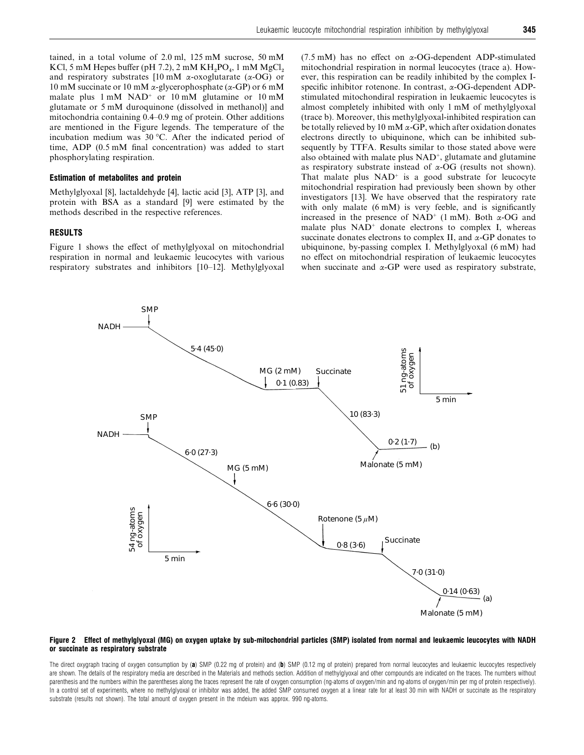tained, in a total volume of 2.0 ml, 125 mM sucrose, 50 mM KCl, 5 mM Hepes buffer (pH 7.2), 2 mM  $KH_2PO_4$ , 1 mM  $MgCl_2$  and respiratory substrates [10 mM α-oxoglutarate (α-OG) or 10 mM succinate or 10 mM  $\alpha$ -glycerophosphate ( $\alpha$ -GP) or 6 mM malate plus  $1 \text{ mM } NAD^+$  or  $10 \text{ mM }$  glutamine or  $10 \text{ mM}$ glutamate or 5 mM duroquinone (dissolved in methanol)] and mitochondria containing 0.4–0.9 mg of protein. Other additions are mentioned in the Figure legends. The temperature of the incubation medium was 30 °C. After the indicated period of time, ADP (0.5 mM final concentration) was added to start phosphorylating respiration.

#### *Estimation of metabolites and protein*

Methylglyoxal [8], lactaldehyde [4], lactic acid [3], ATP [3], and protein with BSA as a standard [9] were estimated by the methods described in the respective references.

#### *RESULTS*

Figure 1 shows the effect of methylglyoxal on mitochondrial respiration in normal and leukaemic leucocytes with various respiratory substrates and inhibitors [10–12]. Methylglyoxal (7.5 mM) has no effect on  $\alpha$ -OG-dependent ADP-stimulated mitochondrial respiration in normal leucocytes (trace a). However, this respiration can be readily inhibited by the complex Ispecific inhibitor rotenone. In contrast, α-OG-dependent ADPstimulated mitochondiral respiration in leukaemic leucocytes is almost completely inhibited with only 1 mM of methylglyoxal (trace b). Moreover, this methylglyoxal-inhibited respiration can be totally relieved by 10 mM  $\alpha$ -GP, which after oxidation donates electrons directly to ubiquinone, which can be inhibited subsequently by TTFA. Results similar to those stated above were also obtained with malate plus NAD+, glutamate and glutamine as respiratory substrate instead of  $\alpha$ -OG (results not shown). That malate plus  $NAD<sup>+</sup>$  is a good substrate for leucocyte mitochondrial respiration had previously been shown by other investigators [13]. We have observed that the respiratory rate with only malate (6 mM) is very feeble, and is significantly increased in the presence of NAD<sup>+</sup> (1 mM). Both  $\alpha$ -OG and malate plus  $NAD<sup>+</sup>$  donate electrons to complex I, whereas succinate donates electrons to complex II, and  $\alpha$ -GP donates to ubiquinone, by-passing complex I. Methylglyoxal (6 mM) had no effect on mitochondrial respiration of leukaemic leucocytes when succinate and  $\alpha$ -GP were used as respiratory substrate,



#### *Figure 2 Effect of methylglyoxal (MG) on oxygen uptake by sub-mitochondrial particles (SMP) isolated from normal and leukaemic leucocytes with NADH or succinate as respiratory substrate*

The direct oxygraph tracing of oxygen consumption by (a) SMP (0.22 mg of protein) and (b) SMP (0.12 mg of protein) prepared from normal leucocytes and leukaemic leucocytes respectively are shown. The details of the respiratory media are described in the Materials and methods section. Addition of methylglyoxal and other compounds are indicated on the traces. The numbers without parenthesis and the numbers within the parentheses along the traces represent the rate of oxygen consumption (ng-atoms of oxygen/min and ng-atoms of oxygen/min per mg of protein respectively). In a control set of experiments, where no methylglyoxal or inhibitor was added, the added SMP consumed oxygen at a linear rate for at least 30 min with NADH or succinate as the respiratory substrate (results not shown). The total amount of oxygen present in the mdeium was approx. 990 ng-atoms.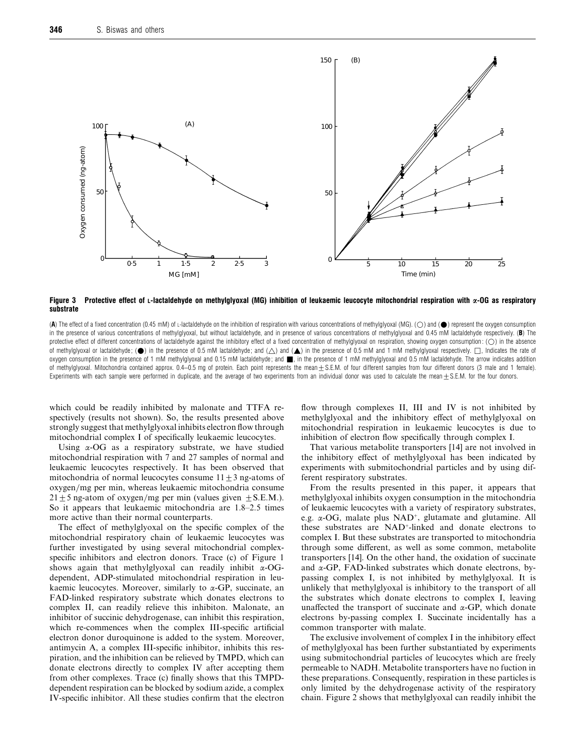

*Figure 3 Protective effect of L-lactaldehyde on methylglyoxal (MG) inhibition of leukaemic leucocyte mitochondrial respiration with α-OG as respiratory substrate*

(A) The effect of a fixed concentration (0.45 mM) of L-lactaldehyde on the inhibition of respiration with various concentrations of methylglyoxal (MG). (O) and ( $\bullet$ ) represent the oxygen consumption in the presence of various concentrations of methylglyoxal, but without lactaldehyde, and in presence of various concentrations of methylglyoxal and 0.45 mM lactaldehyde respectively. (*B*) The protective effect of different concentrations of lactaldehyde against the inhibitory effect of a fixed concentration of methylglyoxal on respiration, showing oxygen consumption: (O) in the absence of methylglyoxal or lactaldehyde; ( $\bullet$ ) in the presence of 0.5 mM lactaldehyde; and ( $\triangle$ ) and ( $\blacktriangle$ ) in the presence of 0.5 mM and 1 mM methylglyoxal respectively.  $\Box$ , Indicates the rate of oxygen consumption in the presence of 1 mM methylglyoxal and 0.15 mM lactaldehyde; and , in the presence of 1 mM methylglyoxal and 0.5 mM lactaldehyde. The arrow indicates addition of methylglyoxal. Mitochondria contained approx.  $0.4-0.5$  mg of protein. Each point represents the mean  $\pm$  S.E.M. of four different samples from four different donors (3 male and 1 female). Experiments with each sample were performed in duplicate, and the average of two experiments from an individual donor was used to calculate the mean  $\pm$  S.E.M. for the four donors.

which could be readily inhibited by malonate and TTFA respectively (results not shown). So, the results presented above strongly suggest that methylglyoxal inhibits electron flow through mitochondrial complex I of specifically leukaemic leucocytes.

Using  $\alpha$ -OG as a respiratory substrate, we have studied mitochondrial respiration with 7 and 27 samples of normal and leukaemic leucocytes respectively. It has been observed that mitochondria of normal leucocytes consume  $11 \pm 3$  ng-atoms of oxygen/mg per min, whereas leukaemic mitochondria consume  $21 \pm 5$  ng-atom of oxygen/mg per min (values given  $\pm$  S.E.M.). So it appears that leukaemic mitochondria are 1.8–2.5 times more active than their normal counterparts.

The effect of methylglyoxal on the specific complex of the mitochondrial respiratory chain of leukaemic leucocytes was further investigated by using several mitochondrial complexspecific inhibitors and electron donors. Trace (c) of Figure 1 shows again that methylglyoxal can readily inhibit α-OGdependent, ADP-stimulated mitochondrial respiration in leukaemic leucocytes. Moreover, similarly to  $\alpha$ -GP, succinate, an FAD-linked respiratory substrate which donates electrons to complex II, can readily relieve this inhibiton. Malonate, an inhibitor of succinic dehydrogenase, can inhibit this respiration, which re-commences when the complex III-specific artificial electron donor duroquinone is added to the system. Moreover, antimycin A, a complex III-specific inhibitor, inhibits this respiration, and the inhibition can be relieved by TMPD, which can donate electrons directly to complex IV after accepting them from other complexes. Trace (c) finally shows that this TMPDdependent respiration can be blocked by sodium azide, a complex IV-specific inhibitor. All these studies confirm that the electron

flow through complexes II, III and IV is not inhibited by methylglyoxal and the inhibitory effect of methylglyoxal on mitochondrial respiration in leukaemic leucocytes is due to inhibition of electron flow specifically through complex I.

That various metabolite transporters [14] are not involved in the inhibitory effect of methylglyoxal has been indicated by experiments with submitochondrial particles and by using different respiratory substrates.

From the results presented in this paper, it appears that methylglyoxal inhibits oxygen consumption in the mitochondria of leukaemic leucocytes with a variety of respiratory substrates, e.g. α-OG, malate plus NAD+, glutamate and glutamine. All these substrates are NAD+-linked and donate electrons to complex I. But these substrates are transported to mitochondria through some different, as well as some common, metabolite transporters [14]. On the other hand, the oxidation of succinate and  $\alpha$ -GP, FAD-linked substrates which donate electrons, bypassing complex I, is not inhibited by methylglyoxal. It is unlikely that methylglyoxal is inhibitory to the transport of all the substrates which donate electrons to complex I, leaving unaffected the transport of succinate and  $\alpha$ -GP, which donate electrons by-passing complex I. Succinate incidentally has a common transporter with malate.

The exclusive involvement of complex I in the inhibitory effect of methylglyoxal has been further substantiated by experiments using submitochondrial particles of leucocytes which are freely permeable to NADH. Metabolite transporters have no fuction in these preparations. Consequently, respiration in these particles is only limited by the dehydrogenase activity of the respiratory chain. Figure 2 shows that methylglyoxal can readily inhibit the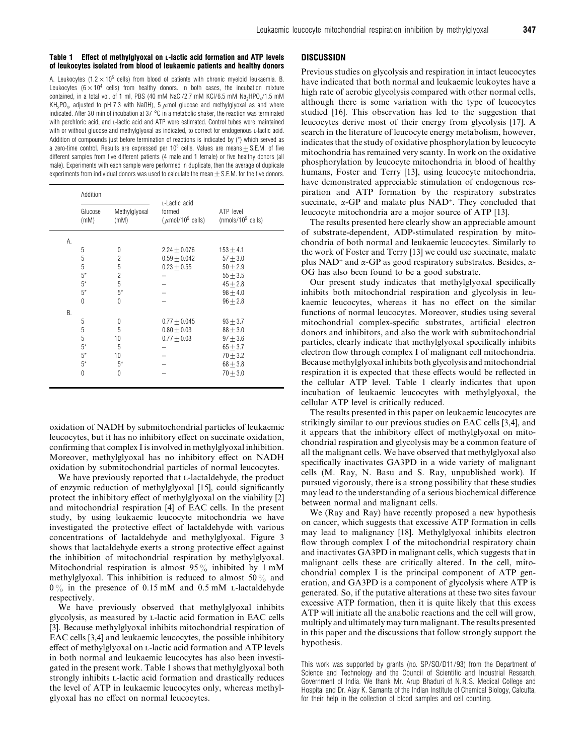#### *Table 1 Effect of methylglyoxal on L-lactic acid formation and ATP levels of leukocytes isolated from blood of leukaemic patients and healthy donors*

A. Leukocytes (1.2  $\times$  10<sup>5</sup> cells) from blood of patients with chronic myeloid leukaemia. B. Leukocytes ( $6 \times 10^4$  cells) from healthy donors. In both cases, the incubation mixture contained, in a total vol. of 1 ml, PBS (40 mM NaCl/2.7 mM KCl/6.5 mM Na<sub>2</sub>HPO<sub>4</sub>/1.5 mM  $KH_{2}PO_{4}$ , adjusted to pH 7.3 with NaOH), 5  $\mu$ mol glucose and methylglyoxal as and where indicated. After 30 min of incubation at 37 °C in a metabolic shaker, the reaction was terminated with perchloric acid, and L-lactic acid and ATP were estimated. Control tubes were maintained with or without glucose and methylglyoxal as indicated, to correct for endogenous L-lactic acid. Addition of compounds just before termination of reactions is indicated by (\*) which served as a zero-time control. Results are expressed per  $10^5$  cells. Values are means  $\pm$  S.E.M. of five different samples from five different patients (4 male and 1 female) or five healthy donors (all male). Experiments with each sample were performed in duplicate, then the average of duplicate experiments from individual donors was used to calculate the mean  $+$  S.E.M. for the five donors.

|    | Addition        |                       | L-Lactic acid                               |                                    |
|----|-----------------|-----------------------|---------------------------------------------|------------------------------------|
|    | Glucose<br>(mM) | Methylglyoxal<br>(mM) | formed<br>$(\mu$ mol/10 <sup>5</sup> cells) | ATP level<br>(nmols/ $10^5$ cells) |
| А. |                 |                       |                                             |                                    |
|    | 5               | 0                     | $2.24 \pm 0.076$                            | $153 + 4.1$                        |
|    | 5               | $\overline{c}$        | $0.59 \pm 0.042$                            | $57 + 3.0$                         |
|    | 5               | 5                     | $0.23 + 0.55$                               | $50 + 2.9$                         |
|    | $5^*$           | $\overline{c}$        |                                             | $55 + 3.5$                         |
|    | $5^*$           | 5                     |                                             | $45 + 2.8$                         |
|    | $5^*$           | $5*$                  |                                             | $98 + 4.0$                         |
|    | $\Omega$        | $\theta$              |                                             | $96 + 2.8$                         |
| В. |                 |                       |                                             |                                    |
|    | 5               | 0                     | $0.77 \pm 0.045$                            | $93 + 3.7$                         |
|    | 5               | 5                     | $0.80 \pm 0.03$                             | $88 + 3.0$                         |
|    | 5               | 10                    | $0.77 + 0.03$                               | $97 + 3.6$                         |
|    | $5^*$           | 5                     |                                             | $65 + 3.7$                         |
|    | $5^*$           | 10                    |                                             | $70 + 3.2$                         |
|    | $5*$            | $5*$                  |                                             | $68 + 3.8$                         |
|    | $\Omega$        | $\Omega$              |                                             | $70 + 3.0$                         |
|    |                 |                       |                                             |                                    |

oxidation of NADH by submitochondrial particles of leukaemic leucocytes, but it has no inhibitory effect on succinate oxidation, confirming that complex I is involved in methylglyoxal inhibition. Moreover, methylglyoxal has no inhibitory effect on NADH oxidation by submitochondrial particles of normal leucocytes.

We have previously reported that L-lactaldehyde, the product of enzymic reduction of methylglyoxal [15], could significantly protect the inhibitory effect of methylglyoxal on the viability [2] and mitochondrial respiration [4] of EAC cells. In the present study, by using leukaemic leucocyte mitochondria we have investigated the protective effect of lactaldehyde with various concentrations of lactaldehyde and methylglyoxal. Figure 3 shows that lactaldehyde exerts a strong protective effect against the inhibition of mitochondrial respiration by methylglyoxal. Mitochondrial respiration is almost  $95\%$  inhibited by 1 mM methylglyoxal. This inhibition is reduced to almost  $50\%$  and  $0\%$  in the presence of 0.15 mM and 0.5 mM L-lactaldehyde respectively.

We have previously observed that methylglyoxal inhibits glycolysis, as measured by L-lactic acid formation in EAC cells [3]. Because methylglyoxal inhibits mitochondrial respiration of EAC cells [3,4] and leukaemic leucocytes, the possible inhibitory effect of methylglyoxal on L-lactic acid formation and ATP levels in both normal and leukaemic leucocytes has also been investigated in the present work. Table 1 shows that methylglyoxal both strongly inhibits L-lactic acid formation and drastically reduces the level of ATP in leukaemic leucocytes only, whereas methylglyoxal has no effect on normal leucocytes.

## *DISCUSSION*

Previous studies on glycolysis and respiration in intact leucocytes have indicated that both normal and leukaemic leukoytes have a high rate of aerobic glycolysis compared with other normal cells, although there is some variation with the type of leucocytes studied [16]. This observation has led to the suggestion that leucocytes derive most of their energy from glycolysis [17]. A search in the literature of leucocyte energy metabolism, however, indicates that the study of oxidative phosphorylation by leucocyte mitochondria has remained very scanty. In work on the oxidative phosphorylation by leucocyte mitochondria in blood of healthy humans, Foster and Terry [13], using leucocyte mitochondria, have demonstrated appreciable stimulation of endogenous respiration and ATP formation by the respiratory substrates succinate,  $\alpha$ -GP and malate plus NAD<sup>+</sup>. They concluded that leucocyte mitochondria are a mojor source of ATP [13].

The results presented here clearly show an appreciable amount of substrate-dependent, ADP-stimulated respiration by mitochondria of both normal and leukaemic leucocytes. Similarly to the work of Foster and Terry [13] we could use succinate, malate plus NAD<sup>+</sup> and  $\alpha$ -GP as good respiratory substrates. Besides,  $\alpha$ -OG has also been found to be a good substrate.

Our present study indicates that methylglyoxal specifically inhibits both mitochondrial respiration and glycolysis in leukaemic leucocytes, whereas it has no effect on the similar functions of normal leucocytes. Moreover, studies using several mitochondrial complex-specific substrates, artificial electron donors and inhibitors, and also the work with submitochondrial particles, clearly indicate that methylglyoxal specifically inhibits electron flow through complex I of malignant cell mitochondria. Because methylglyoxal inhibits both glycolysis and mitochondrial respiration it is expected that these effects would be reflected in the cellular ATP level. Table 1 clearly indicates that upon incubation of leukaemic leucocytes with methylglyoxal, the cellular ATP level is critically reduced.

The results presented in this paper on leukaemic leucocytes are strikingly similar to our previous studies on EAC cells [3,4], and it appears that the inhibitory effect of methylglyoxal on mitochondrial respiration and glycolysis may be a common feature of all the malignant cells. We have observed that methylglyoxal also specifically inactivates GA3PD in a wide variety of malignant cells (M. Ray, N. Basu and S. Ray, unpublished work). If pursued vigorously, there is a strong possibility that these studies may lead to the understanding of a serious biochemical difference between normal and malignant cells.

We (Ray and Ray) have recently proposed a new hypothesis on cancer, which suggests that excessive ATP formation in cells may lead to malignancy [18]. Methylglyoxal inhibits electron flow through complex I of the mitochondrial respiratory chain and inactivates GA3PD in malignant cells, which suggests that in malignant cells these are critically altered. In the cell, mitochondrial complex I is the principal component of ATP generation, and GA3PD is a component of glycolysis where ATP is generated. So, if the putative alterations at these two sites favour excessive ATP formation, then it is quite likely that this excess ATP will initiate all the anabolic reactions and the cell will grow, multiply and ultimately may turn malignant. The results presented in this paper and the discussions that follow strongly support the hypothesis.

This work was supported by grants (no. SP/SO/D11/93) from the Department of Science and Technology and the Council of Scientific and Industrial Research, Government of India. We thank Mr. Arup Bhaduri of N.R.S. Medical College and Hospital and Dr. Ajay K. Samanta of the Indian Institute of Chemical Biology, Calcutta, for their help in the collection of blood samples and cell counting.